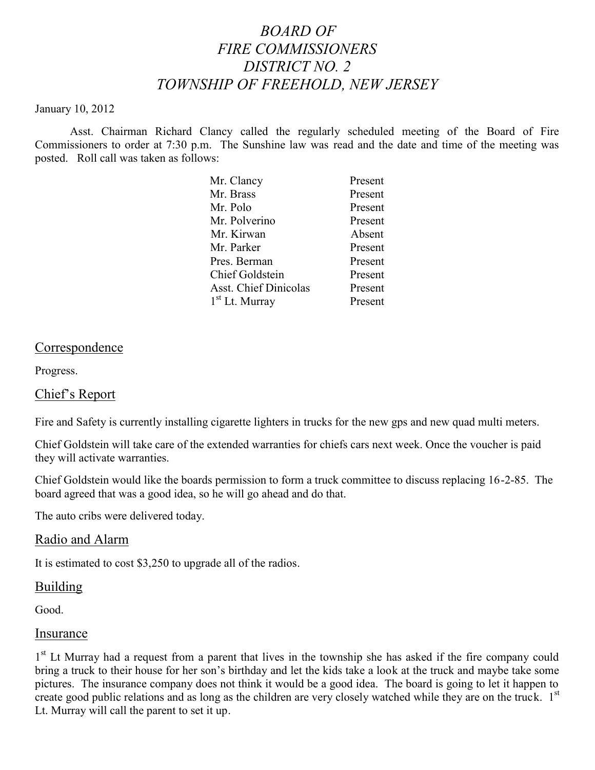# *BOARD OF FIRE COMMISSIONERS DISTRICT NO. 2 TOWNSHIP OF FREEHOLD, NEW JERSEY*

#### January 10, 2012

Asst. Chairman Richard Clancy called the regularly scheduled meeting of the Board of Fire Commissioners to order at 7:30 p.m. The Sunshine law was read and the date and time of the meeting was posted. Roll call was taken as follows:

| Present |
|---------|
| Present |
| Present |
| Present |
| Absent  |
| Present |
| Present |
| Present |
| Present |
| Present |
|         |

#### Correspondence

Progress.

## Chief's Report

Fire and Safety is currently installing cigarette lighters in trucks for the new gps and new quad multi meters.

Chief Goldstein will take care of the extended warranties for chiefs cars next week. Once the voucher is paid they will activate warranties.

Chief Goldstein would like the boards permission to form a truck committee to discuss replacing 16-2-85. The board agreed that was a good idea, so he will go ahead and do that.

The auto cribs were delivered today.

#### Radio and Alarm

It is estimated to cost \$3,250 to upgrade all of the radios.

#### **Building**

Good.

#### Insurance

1<sup>st</sup> Lt Murray had a request from a parent that lives in the township she has asked if the fire company could bring a truck to their house for her son's birthday and let the kids take a look at the truck and maybe take some pictures. The insurance company does not think it would be a good idea. The board is going to let it happen to create good public relations and as long as the children are very closely watched while they are on the truck.  $1<sup>st</sup>$ Lt. Murray will call the parent to set it up.